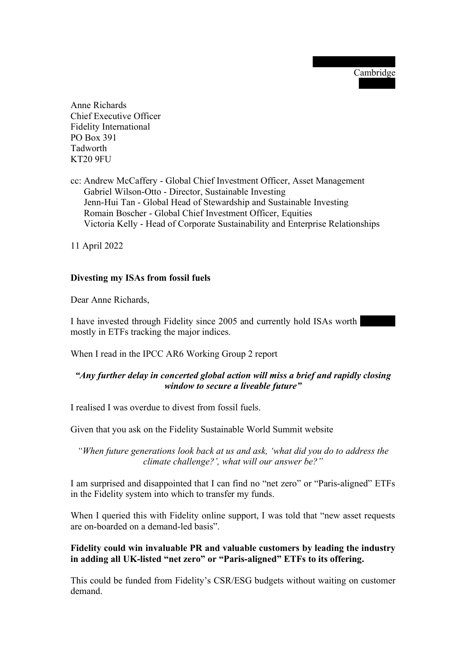26 Chesterton Towers Cambridge CB4 1DZ

Anne Richards Chief Executive Officer Fidelity International PO Box 391 Tadworth KT20 9FU

cc: Andrew McCaffery - Global Chief Investment Officer, Asset Management Gabriel Wilson-Otto - Director, Sustainable Investing Jenn-Hui Tan - Global Head of Stewardship and Sustainable Investing Romain Boscher - Global Chief Investment Officer, Equities Victoria Kelly - Head of Corporate Sustainability and Enterprise Relationships

11 April 2022

## Divesting my ISAs from fossil fuels

Dear Anne Richards,

I have invested through Fidelity since 2005 and currently hold ISAs worth mostly in ETFs tracking the major indices.

When I read in the IPCC AR6 Working Group 2 report

## "Any further delay in concerted global action will miss a brief and rapidly closing window to secure a liveable future"

I realised I was overdue to divest from fossil fuels.

Given that you ask on the Fidelity Sustainable World Summit website

"When future generations look back at us and ask, 'what did you do to address the climate challenge?', what will our answer be?"

I am surprised and disappointed that I can find no "net zero" or "Paris-aligned" ETFs in the Fidelity system into which to transfer my funds.

When I queried this with Fidelity online support, I was told that "new asset requests" are on-boarded on a demand-led basis".

Fidelity could win invaluable PR and valuable customers by leading the industry in adding all UK-listed "net zero" or "Paris-aligned" ETFs to its offering.

This could be funded from Fidelity's CSR/ESG budgets without waiting on customer demand.